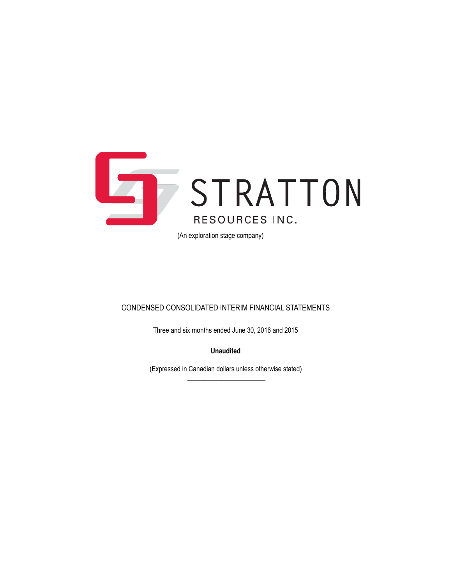

(An exploration stage company)

### CONDENSED CONSOLIDATED INTERIM FINANCIAL STATEMENTS

Three and six months ended June 30, 2016 and 2015

**Unaudited**

(Expressed in Canadian dollars unless otherwise stated)  $\overline{\phantom{a}}$  , where the contract of the contract of the contract of the contract of the contract of the contract of the contract of the contract of the contract of the contract of the contract of the contract of the contr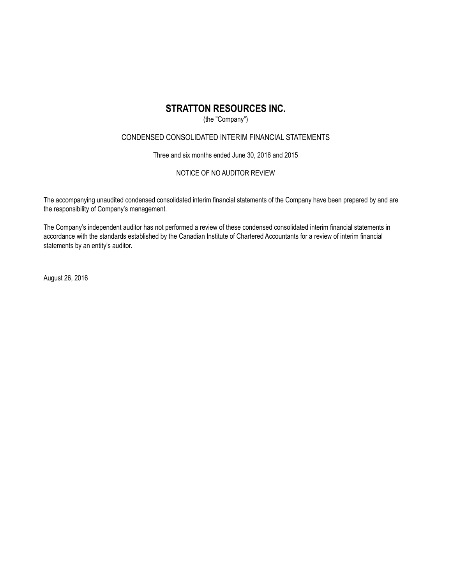### (the "Company")

### CONDENSED CONSOLIDATED INTERIM FINANCIAL STATEMENTS

Three and six months ended June 30, 2016 and 2015

### NOTICE OF NO AUDITOR REVIEW

The accompanying unaudited condensed consolidated interim financial statements of the Company have been prepared by and are the responsibility of Company's management.

The Company's independent auditor has not performed a review of these condensed consolidated interim financial statements in accordance with the standards established by the Canadian Institute of Chartered Accountants for a review of interim financial statements by an entity's auditor.

August 26, 2016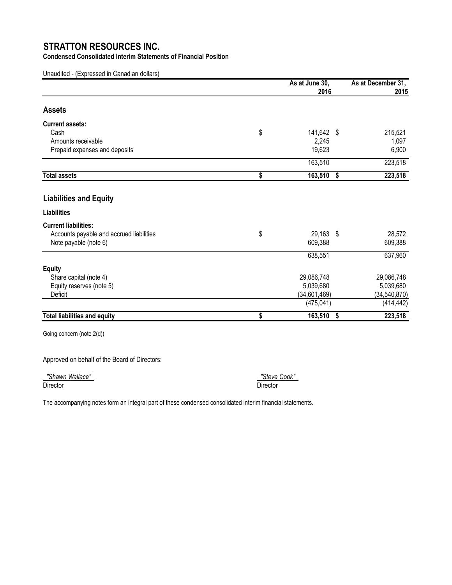**Condensed Consolidated Interim Statements of Financial Position**

Unaudited - (Expressed in Canadian dollars)

|                                          | As at June 30,<br>2016 |    | As at December 31,<br>2015 |
|------------------------------------------|------------------------|----|----------------------------|
| <b>Assets</b>                            |                        |    |                            |
| <b>Current assets:</b>                   |                        |    |                            |
| Cash                                     | \$<br>141,642 \$       |    | 215,521                    |
| Amounts receivable                       | 2,245                  |    | 1,097                      |
| Prepaid expenses and deposits            | 19,623                 |    | 6,900                      |
|                                          | 163,510                |    | 223,518                    |
| <b>Total assets</b>                      | \$<br>163,510          | \$ | 223,518                    |
| <b>Liabilities and Equity</b>            |                        |    |                            |
| <b>Liabilities</b>                       |                        |    |                            |
| <b>Current liabilities:</b>              |                        |    |                            |
| Accounts payable and accrued liabilities | \$<br>29,163 \$        |    | 28,572                     |
| Note payable (note 6)                    | 609,388                |    | 609,388                    |
|                                          | 638,551                |    | 637,960                    |
| <b>Equity</b>                            |                        |    |                            |
| Share capital (note 4)                   | 29,086,748             |    | 29,086,748                 |
| Equity reserves (note 5)                 | 5,039,680              |    | 5,039,680                  |
| Deficit                                  | (34,601,469)           |    | (34, 540, 870)             |
|                                          | (475, 041)             |    | (414, 442)                 |
| <b>Total liabilities and equity</b>      | \$<br>163,510          | S. | 223,518                    |

Going concern (note 2(d))

Approved on behalf of the Board of Directors:

 *"Shawn Wallace" "Steve Cook"*  Director Director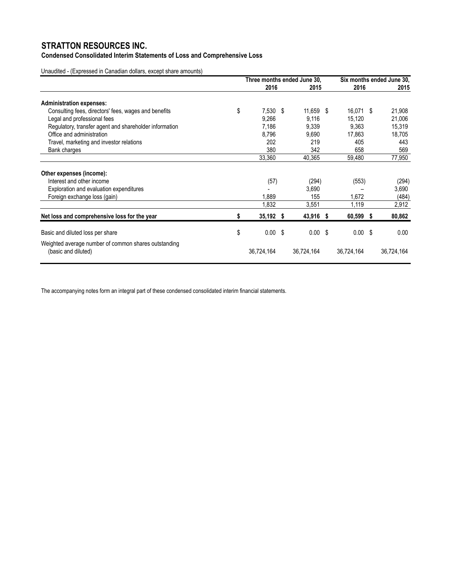**Condensed Consolidated Interim Statements of Loss and Comprehensive Loss**

Unaudited - (Expressed in Canadian dollars, except share amounts)

|                                                                             |    | Three months ended June 30, |  |            |  | Six months ended June 30. |  |            |
|-----------------------------------------------------------------------------|----|-----------------------------|--|------------|--|---------------------------|--|------------|
|                                                                             |    | 2016                        |  | 2015       |  | 2016                      |  | 2015       |
| <b>Administration expenses:</b>                                             |    |                             |  |            |  |                           |  |            |
| Consulting fees, directors' fees, wages and benefits                        | \$ | $7,530$ \$                  |  | 11,659 \$  |  | 16,071 \$                 |  | 21,908     |
| Legal and professional fees                                                 |    | 9,266                       |  | 9,116      |  | 15,120                    |  | 21,006     |
| Regulatory, transfer agent and shareholder information                      |    | 7,186                       |  | 9,339      |  | 9,363                     |  | 15,319     |
| Office and administration                                                   |    | 8,796                       |  | 9,690      |  | 17,863                    |  | 18,705     |
| Travel, marketing and investor relations                                    |    | 202                         |  | 219        |  | 405                       |  | 443        |
| Bank charges                                                                |    | 380                         |  | 342        |  | 658                       |  | 569        |
|                                                                             |    | 33,360                      |  | 40,365     |  | 59,480                    |  | 77,950     |
| Other expenses (income):                                                    |    |                             |  |            |  |                           |  |            |
| Interest and other income                                                   |    | (57)                        |  | (294)      |  | (553)                     |  | (294)      |
| Exploration and evaluation expenditures                                     |    |                             |  | 3,690      |  |                           |  | 3,690      |
| Foreign exchange loss (gain)                                                |    | 1,889                       |  | 155        |  | 1,672                     |  | (484)      |
|                                                                             |    | 1,832                       |  | 3,551      |  | 1,119                     |  | 2,912      |
| Net loss and comprehensive loss for the year                                | S  | 35,192 \$                   |  | 43,916 \$  |  | $60,599$ \$               |  | 80,862     |
| Basic and diluted loss per share                                            | \$ | $0.00$ \$                   |  | $0.00$ \$  |  | $0.00$ \$                 |  | 0.00       |
|                                                                             |    |                             |  |            |  |                           |  |            |
| Weighted average number of common shares outstanding<br>(basic and diluted) |    | 36,724,164                  |  | 36,724,164 |  | 36,724,164                |  | 36,724,164 |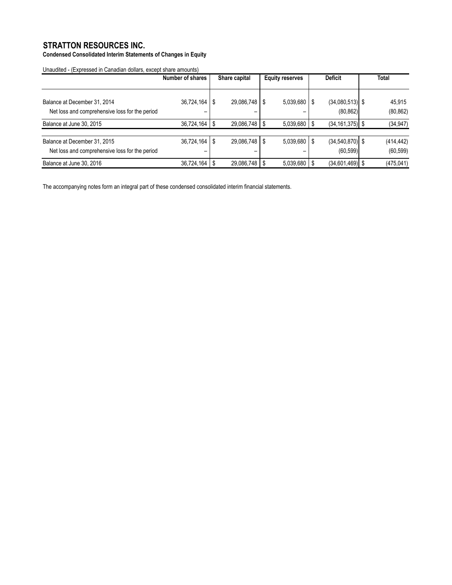**Condensed Consolidated Interim Statements of Changes in Equity**

Unaudited - (Expressed in Canadian dollars, except share amounts)

|                                                                                | Number of shares | Share capital     |  | <b>Deficit</b><br><b>Equity reserves</b> |      |                                  |  | <b>Total</b>            |
|--------------------------------------------------------------------------------|------------------|-------------------|--|------------------------------------------|------|----------------------------------|--|-------------------------|
| Balance at December 31, 2014<br>Net loss and comprehensive loss for the period | 36,724,164       | $29,086,748$   \$ |  | 5,039,680                                |      | $(34,080,513)$ \$<br>(80, 862)   |  | 45,915<br>(80, 862)     |
| Balance at June 30, 2015                                                       | 36,724,164       | $29,086,748$ \ \$ |  | 5,039,680                                | - \$ | $(34, 161, 375)$ \$              |  | (34, 947)               |
| Balance at December 31, 2015<br>Net loss and comprehensive loss for the period | 36,724,164<br>-  | $29,086,748$ \ \$ |  | 5,039,680                                | S    | $(34, 540, 870)$ \$<br>(60, 599) |  | (414, 442)<br>(60, 599) |
| Balance at June 30, 2016                                                       | 36,724,164       | $29,086,748$   \$ |  | 5,039,680                                |      | $(34,601,469)$ \$                |  | (475, 041)              |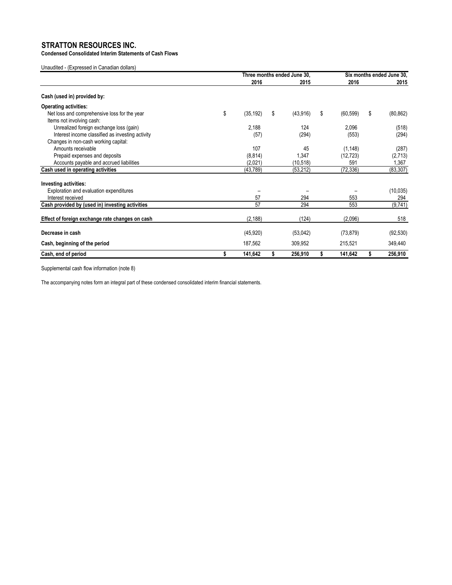**Condensed Consolidated Interim Statements of Cash Flows**

Unaudited - (Expressed in Canadian dollars)

|                                                                           | Three months ended June 30, |    |           | Six months ended June 30, |   |           |
|---------------------------------------------------------------------------|-----------------------------|----|-----------|---------------------------|---|-----------|
|                                                                           | 2016                        |    | 2015      | 2016                      |   | 2015      |
| Cash (used in) provided by:                                               |                             |    |           |                           |   |           |
| <b>Operating activities:</b>                                              |                             |    |           |                           |   |           |
| Net loss and comprehensive loss for the year<br>Items not involving cash: | \$<br>(35, 192)             | \$ | (43,916)  | \$<br>(60, 599)           | S | (80, 862) |
| Unrealized foreign exchange loss (gain)                                   | 2,188                       |    | 124       | 2,096                     |   | (518)     |
| Interest income classified as investing activity                          | (57)                        |    | (294)     | (553)                     |   | (294)     |
| Changes in non-cash working capital:                                      |                             |    |           |                           |   |           |
| Amounts receivable                                                        | 107                         |    | 45        | (1, 148)                  |   | (287)     |
| Prepaid expenses and deposits                                             | (8, 814)                    |    | 1,347     | (12, 723)                 |   | (2,713)   |
| Accounts payable and accrued liabilities                                  | (2,021)                     |    | (10,518)  | 591                       |   | 1,367     |
| Cash used in operating activities                                         | (43, 789)                   |    | (53, 212) | (72, 336)                 |   | (83, 307) |
| <b>Investing activities:</b>                                              |                             |    |           |                           |   |           |
| Exploration and evaluation expenditures                                   |                             |    |           |                           |   | (10, 035) |
| Interest received                                                         | 57                          |    | 294       | 553                       |   | 294       |
| Cash provided by (used in) investing activities                           | 57                          |    | 294       | 553                       |   | (9, 741)  |
| Effect of foreign exchange rate changes on cash                           | (2, 188)                    |    | (124)     | (2,096)                   |   | 518       |
| Decrease in cash                                                          | (45, 920)                   |    | (53,042)  | (73, 879)                 |   | (92, 530) |
| Cash, beginning of the period                                             | 187,562                     |    | 309,952   | 215,521                   |   | 349,440   |
| Cash, end of period                                                       | 141,642                     |    | 256,910   | 141,642                   |   | 256,910   |

Supplemental cash flow information (note 8)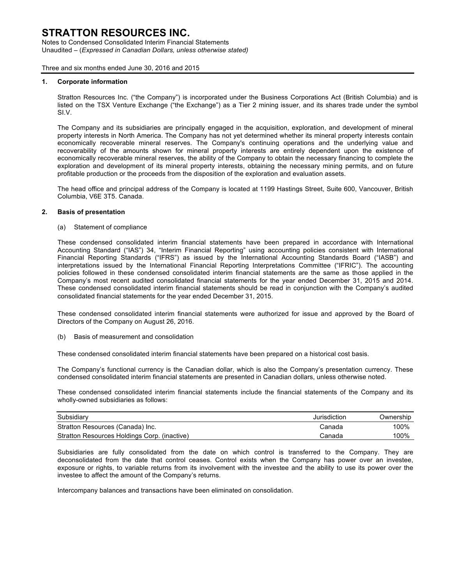Notes to Condensed Consolidated Interim Financial Statements Unaudited – (*Expressed in Canadian Dollars, unless otherwise stated)*

Three and six months ended June 30, 2016 and 2015

#### **1. Corporate information**

Stratton Resources Inc. ("the Company") is incorporated under the Business Corporations Act (British Columbia) and is listed on the TSX Venture Exchange ("the Exchange") as a Tier 2 mining issuer, and its shares trade under the symbol SI.V.

The Company and its subsidiaries are principally engaged in the acquisition, exploration, and development of mineral property interests in North America. The Company has not yet determined whether its mineral property interests contain economically recoverable mineral reserves. The Company's continuing operations and the underlying value and recoverability of the amounts shown for mineral property interests are entirely dependent upon the existence of economically recoverable mineral reserves, the ability of the Company to obtain the necessary financing to complete the exploration and development of its mineral property interests, obtaining the necessary mining permits, and on future profitable production or the proceeds from the disposition of the exploration and evaluation assets.

The head office and principal address of the Company is located at 1199 Hastings Street, Suite 600, Vancouver, British Columbia, V6E 3T5. Canada.

#### **2. Basis of presentation**

(a) Statement of compliance

These condensed consolidated interim financial statements have been prepared in accordance with International Accounting Standard ("IAS") 34, "Interim Financial Reporting" using accounting policies consistent with International Financial Reporting Standards ("IFRS") as issued by the International Accounting Standards Board ("IASB") and interpretations issued by the International Financial Reporting Interpretations Committee ("IFRIC"). The accounting policies followed in these condensed consolidated interim financial statements are the same as those applied in the Company's most recent audited consolidated financial statements for the year ended December 31, 2015 and 2014. These condensed consolidated interim financial statements should be read in conjunction with the Company's audited consolidated financial statements for the year ended December 31, 2015.

These condensed consolidated interim financial statements were authorized for issue and approved by the Board of Directors of the Company on August 26, 2016.

(b) Basis of measurement and consolidation

These condensed consolidated interim financial statements have been prepared on a historical cost basis.

The Company's functional currency is the Canadian dollar, which is also the Company's presentation currency. These condensed consolidated interim financial statements are presented in Canadian dollars, unless otherwise noted.

These condensed consolidated interim financial statements include the financial statements of the Company and its wholly-owned subsidiaries as follows:

| Subsidiary                                   | Jurisdiction | Ownership |
|----------------------------------------------|--------------|-----------|
| Stratton Resources (Canada) Inc.             | Canada       | 100%      |
| Stratton Resources Holdings Corp. (inactive) | Canada       | 100%      |

Subsidiaries are fully consolidated from the date on which control is transferred to the Company. They are deconsolidated from the date that control ceases. Control exists when the Company has power over an investee, exposure or rights, to variable returns from its involvement with the investee and the ability to use its power over the investee to affect the amount of the Company's returns.

Intercompany balances and transactions have been eliminated on consolidation.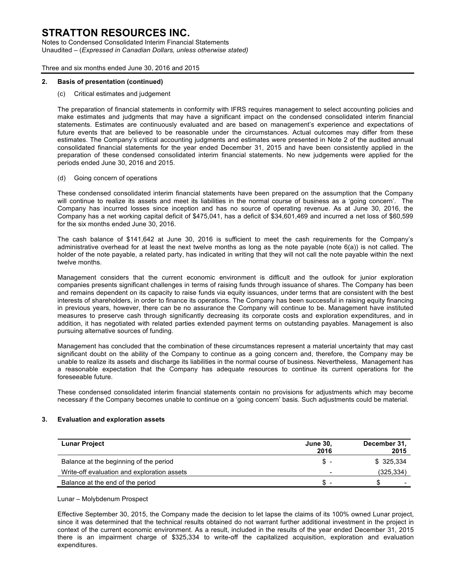Notes to Condensed Consolidated Interim Financial Statements Unaudited – (*Expressed in Canadian Dollars, unless otherwise stated)*

Three and six months ended June 30, 2016 and 2015

#### **2. Basis of presentation (continued)**

(c) Critical estimates and judgement

The preparation of financial statements in conformity with IFRS requires management to select accounting policies and make estimates and judgments that may have a significant impact on the condensed consolidated interim financial statements. Estimates are continuously evaluated and are based on management's experience and expectations of future events that are believed to be reasonable under the circumstances. Actual outcomes may differ from these estimates. The Company's critical accounting judgments and estimates were presented in Note 2 of the audited annual consolidated financial statements for the year ended December 31, 2015 and have been consistently applied in the preparation of these condensed consolidated interim financial statements. No new judgements were applied for the periods ended June 30, 2016 and 2015.

#### (d) Going concern of operations

These condensed consolidated interim financial statements have been prepared on the assumption that the Company will continue to realize its assets and meet its liabilities in the normal course of business as a 'going concern'. The Company has incurred losses since inception and has no source of operating revenue. As at June 30, 2016, the Company has a net working capital deficit of \$475,041, has a deficit of \$34,601,469 and incurred a net loss of \$60,599 for the six months ended June 30, 2016.

The cash balance of \$141,642 at June 30, 2016 is sufficient to meet the cash requirements for the Company's administrative overhead for at least the next twelve months as long as the note payable (note 6(a)) is not called. The holder of the note payable, a related party, has indicated in writing that they will not call the note payable within the next twelve months.

Management considers that the current economic environment is difficult and the outlook for junior exploration companies presents significant challenges in terms of raising funds through issuance of shares. The Company has been and remains dependent on its capacity to raise funds via equity issuances, under terms that are consistent with the best interests of shareholders, in order to finance its operations. The Company has been successful in raising equity financing in previous years, however, there can be no assurance the Company will continue to be. Management have instituted measures to preserve cash through significantly decreasing its corporate costs and exploration expenditures, and in addition, it has negotiated with related parties extended payment terms on outstanding payables. Management is also pursuing alternative sources of funding.

Management has concluded that the combination of these circumstances represent a material uncertainty that may cast significant doubt on the ability of the Company to continue as a going concern and, therefore, the Company may be unable to realize its assets and discharge its liabilities in the normal course of business. Nevertheless, Management has a reasonable expectation that the Company has adequate resources to continue its current operations for the foreseeable future.

These condensed consolidated interim financial statements contain no provisions for adjustments which may become necessary if the Company becomes unable to continue on a 'going concern' basis. Such adjustments could be material.

#### **3. Evaluation and exploration assets**

| <b>Lunar Project</b>                        | <b>June 30,</b><br>2016 | December 31,<br>2015     |
|---------------------------------------------|-------------------------|--------------------------|
| Balance at the beginning of the period      | \$                      | \$325.334                |
| Write-off evaluation and exploration assets | -                       | (325, 334)               |
| Balance at the end of the period            | £.                      | $\overline{\phantom{0}}$ |

Lunar – Molybdenum Prospect

Effective September 30, 2015, the Company made the decision to let lapse the claims of its 100% owned Lunar project, since it was determined that the technical results obtained do not warrant further additional investment in the project in context of the current economic environment. As a result, included in the results of the year ended December 31, 2015 there is an impairment charge of \$325,334 to write-off the capitalized acquisition, exploration and evaluation expenditures.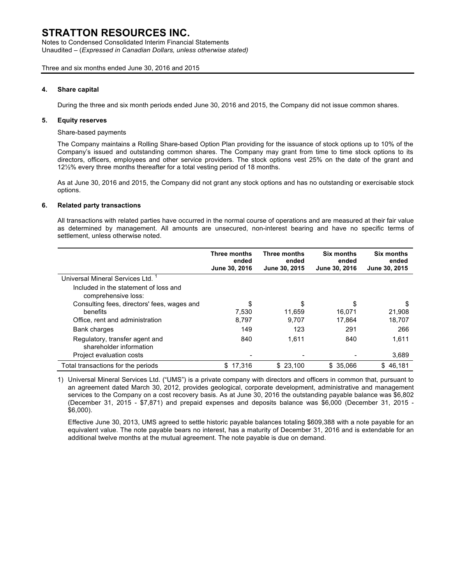Notes to Condensed Consolidated Interim Financial Statements Unaudited – (*Expressed in Canadian Dollars, unless otherwise stated)*

#### Three and six months ended June 30, 2016 and 2015

#### **4. Share capital**

During the three and six month periods ended June 30, 2016 and 2015, the Company did not issue common shares.

#### **5. Equity reserves**

Share-based payments

The Company maintains a Rolling Share-based Option Plan providing for the issuance of stock options up to 10% of the Company's issued and outstanding common shares. The Company may grant from time to time stock options to its directors, officers, employees and other service providers. The stock options vest 25% on the date of the grant and 12½% every three months thereafter for a total vesting period of 18 months.

As at June 30, 2016 and 2015, the Company did not grant any stock options and has no outstanding or exercisable stock options.

#### **6. Related party transactions**

All transactions with related parties have occurred in the normal course of operations and are measured at their fair value as determined by management. All amounts are unsecured, non-interest bearing and have no specific terms of settlement, unless otherwise noted.

|                                                              | Three months<br>ended<br>June 30, 2016 | Three months<br>ended<br>June 30, 2015 | Six months<br>ended<br>June 30, 2016 | <b>Six months</b><br>ended<br>June 30, 2015 |
|--------------------------------------------------------------|----------------------------------------|----------------------------------------|--------------------------------------|---------------------------------------------|
| Universal Mineral Services Ltd.                              |                                        |                                        |                                      |                                             |
| Included in the statement of loss and<br>comprehensive loss: |                                        |                                        |                                      |                                             |
| Consulting fees, directors' fees, wages and                  | \$                                     | S                                      | \$                                   | S                                           |
| benefits                                                     | 7,530                                  | 11.659                                 | 16.071                               | 21,908                                      |
| Office, rent and administration                              | 8,797                                  | 9.707                                  | 17.864                               | 18,707                                      |
| Bank charges                                                 | 149                                    | 123                                    | 291                                  | 266                                         |
| Regulatory, transfer agent and<br>shareholder information    | 840                                    | 1.611                                  | 840                                  | 1.611                                       |
| Project evaluation costs                                     |                                        |                                        |                                      | 3,689                                       |
| Total transactions for the periods                           | \$17,316                               | \$23,100                               | \$35,066                             | \$46.181                                    |

1) Universal Mineral Services Ltd. ("UMS") is a private company with directors and officers in common that, pursuant to an agreement dated March 30, 2012, provides geological, corporate development, administrative and management services to the Company on a cost recovery basis. As at June 30, 2016 the outstanding payable balance was \$6,802 (December 31, 2015 - \$7,871) and prepaid expenses and deposits balance was \$6,000 (December 31, 2015 - \$6,000).

Effective June 30, 2013, UMS agreed to settle historic payable balances totaling \$609,388 with a note payable for an equivalent value. The note payable bears no interest, has a maturity of December 31, 2016 and is extendable for an additional twelve months at the mutual agreement. The note payable is due on demand.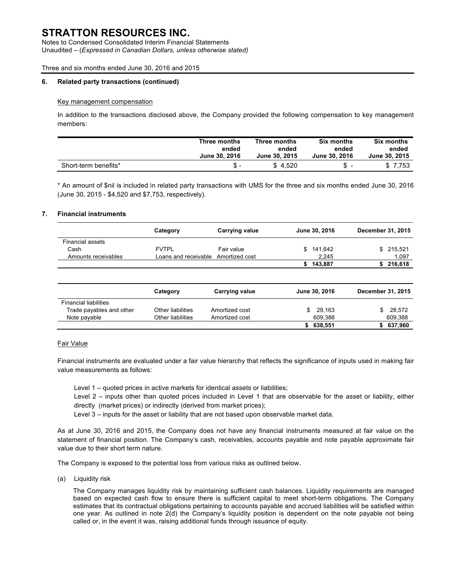Notes to Condensed Consolidated Interim Financial Statements Unaudited – (*Expressed in Canadian Dollars, unless otherwise stated)*

Three and six months ended June 30, 2016 and 2015

#### **6. Related party transactions (continued)**

#### Key management compensation

In addition to the transactions disclosed above, the Company provided the following compensation to key management members:

|                      | Three months  | Three months  | Six months    | Six months    |
|----------------------|---------------|---------------|---------------|---------------|
|                      | ended         | ended         | ended         | ended         |
|                      | June 30, 2016 | June 30, 2015 | June 30, 2016 | June 30, 2015 |
| Short-term benefits* | $S -$         | \$4.520       | S             | \$7.753       |

\* An amount of \$nil is included in related party transactions with UMS for the three and six months ended June 30, 2016 (June 30, 2015 - \$4,520 and \$7,753, respectively).

#### **7. Financial instruments**

|                         | Category                            | <b>Carrying value</b> |     | June 30, 2016 | December 31, 2015 |           |
|-------------------------|-------------------------------------|-----------------------|-----|---------------|-------------------|-----------|
| <b>Financial assets</b> |                                     |                       |     |               |                   |           |
| Cash                    | <b>FVTPL</b>                        | Fair value            | SS. | 141,642       |                   | \$215,521 |
| Amounts receivables     | Loans and receivable Amortized cost |                       |     | 2.245         |                   | 1,097     |
|                         |                                     |                       |     | 143.887       |                   | \$216,618 |
|                         |                                     |                       |     |               |                   |           |

|                              | Category          | <b>Carrying value</b> | June 30, 2016 | December 31, 2015 |         |
|------------------------------|-------------------|-----------------------|---------------|-------------------|---------|
| <b>Financial liabilities</b> |                   |                       |               |                   |         |
| Trade payables and other     | Other liabilities | Amortized cost        | 29.163        |                   | 28.572  |
| Note payable                 | Other liabilities | Amortized cost        | 609.388       |                   | 609,388 |
|                              |                   |                       | 638,551       |                   | 637,960 |

#### Fair Value

Financial instruments are evaluated under a fair value hierarchy that reflects the significance of inputs used in making fair value measurements as follows:

Level 1 – quoted prices in active markets for identical assets or liabilities;

Level 2 – inputs other than quoted prices included in Level 1 that are observable for the asset or liability, either directly (market prices) or indirectly (derived from market prices);

Level 3 – inputs for the asset or liability that are not based upon observable market data.

As at June 30, 2016 and 2015, the Company does not have any financial instruments measured at fair value on the statement of financial position. The Company's cash, receivables, accounts payable and note payable approximate fair value due to their short term nature.

The Company is exposed to the potential loss from various risks as outlined below.

(a) Liquidity risk

The Company manages liquidity risk by maintaining sufficient cash balances. Liquidity requirements are managed based on expected cash flow to ensure there is sufficient capital to meet short-term obligations. The Company estimates that its contractual obligations pertaining to accounts payable and accrued liabilities will be satisfied within one year. As outlined in note 2(d) the Company's liquidity position is dependent on the note payable not being called or, in the event it was, raising additional funds through issuance of equity.